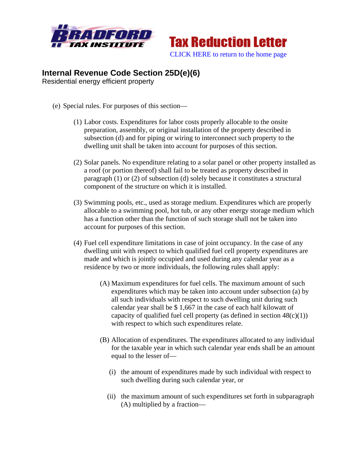



## **Internal Revenue Code Section 25D(e)(6)**

Residential energy efficient property

- (e) Special rules. For purposes of this section—
	- (1) Labor costs. Expenditures for labor costs properly allocable to the onsite preparation, assembly, or original installation of the property described in subsection (d) and for piping or wiring to interconnect such property to the dwelling unit shall be taken into account for purposes of this section.
	- (2) Solar panels. No expenditure relating to a solar panel or other property installed as a roof (or portion thereof) shall fail to be treated as property described in paragraph (1) or (2) of subsection (d) solely because it constitutes a structural component of the structure on which it is installed.
	- (3) Swimming pools, etc., used as storage medium. Expenditures which are properly allocable to a swimming pool, hot tub, or any other energy storage medium which has a function other than the function of such storage shall not be taken into account for purposes of this section.
	- (4) Fuel cell expenditure limitations in case of joint occupancy. In the case of any dwelling unit with respect to which qualified fuel cell property expenditures are made and which is jointly occupied and used during any calendar year as a residence by two or more individuals, the following rules shall apply:
		- (A) Maximum expenditures for fuel cells. The maximum amount of such expenditures which may be taken into account under subsection (a) by all such individuals with respect to such dwelling unit during such calendar year shall be \$ 1,667 in the case of each half kilowatt of capacity of qualified fuel cell property (as defined in section  $48(c)(1)$ ) with respect to which such expenditures relate.
		- (B) Allocation of expenditures. The expenditures allocated to any individual for the taxable year in which such calendar year ends shall be an amount equal to the lesser of—
			- (i) the amount of expenditures made by such individual with respect to such dwelling during such calendar year, or
			- (ii) the maximum amount of such expenditures set forth in subparagraph (A) multiplied by a fraction—